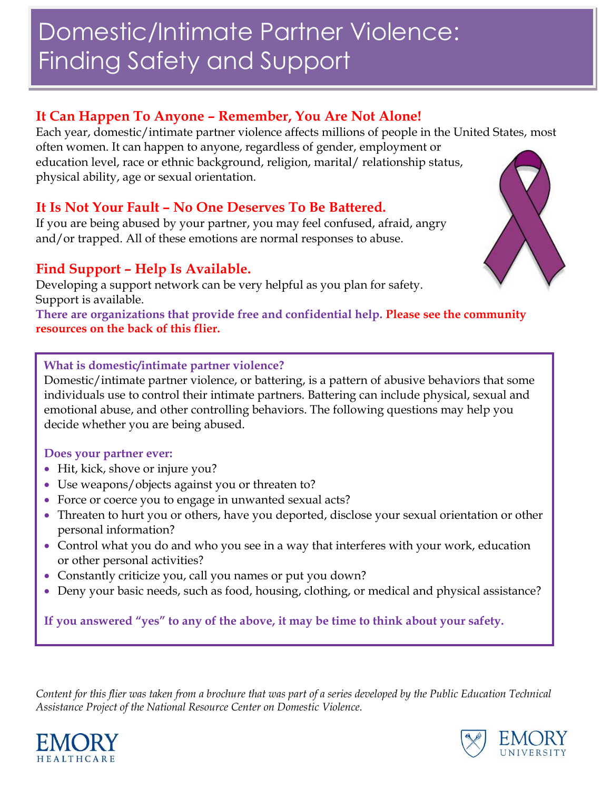# Domestic/Intimate Partner Violence: Finding Safety and Support

## **It Can Happen To Anyone – Remember, You Are Not Alone!**

Each year, domestic/intimate partner violence affects millions of people in the United States, most often women. It can happen to anyone, regardless of gender, employment or education level, race or ethnic background, religion, marital/ relationship status, physical ability, age or sexual orientation.

## **It Is Not Your Fault – No One Deserves To Be Battered.**

If you are being abused by your partner, you may feel confused, afraid, angry and/or trapped. All of these emotions are normal responses to abuse.

## **Find Support – Help Is Available.**

Developing a support network can be very helpful as you plan for safety. Support is available.

**There are organizations that provide free and confidential help. Please see the community resources on the back of this flier.**

### **What is domestic/intimate partner violence?**

Domestic/intimate partner violence, or battering, is a pattern of abusive behaviors that some individuals use to control their intimate partners. Battering can include physical, sexual and emotional abuse, and other controlling behaviors. The following questions may help you decide whether you are being abused.

#### **Does your partner ever:**

- Hit, kick, shove or injure you?
- Use weapons/objects against you or threaten to?
- Force or coerce you to engage in unwanted sexual acts?
- Threaten to hurt you or others, have you deported, disclose your sexual orientation or other personal information?
- Control what you do and who you see in a way that interferes with your work, education or other personal activities?
- Constantly criticize you, call you names or put you down?
- Deny your basic needs, such as food, housing, clothing, or medical and physical assistance?

**If you answered "yes" to any of the above, it may be time to think about your safety.**

*Content for this flier was taken from a brochure that was part of a series developed by the Public Education Technical Assistance Project of the National Resource Center on Domestic Violence.*